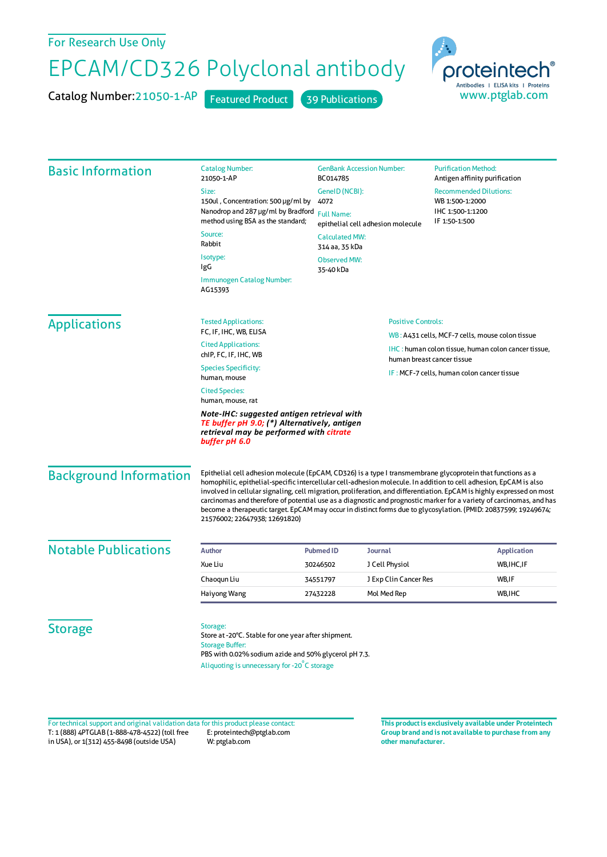## For Research Use Only

## EPCAM/CD326 Polyclonal antibody

Catalog Number: 21050-1-AP Featured Product 39 Publications



| <b>Basic Information</b>      | <b>Catalog Number:</b><br>21050-1-AP                                                                                                                                                                                                                                                                                                                                                                                                                                                                                                                                                                                                  | <b>GenBank Accession Number:</b><br>BC014785                                                              |                                                   | <b>Purification Method:</b><br>Antigen affinity purification                              |  |
|-------------------------------|---------------------------------------------------------------------------------------------------------------------------------------------------------------------------------------------------------------------------------------------------------------------------------------------------------------------------------------------------------------------------------------------------------------------------------------------------------------------------------------------------------------------------------------------------------------------------------------------------------------------------------------|-----------------------------------------------------------------------------------------------------------|---------------------------------------------------|-------------------------------------------------------------------------------------------|--|
|                               | GeneID (NCBI):<br>Size:                                                                                                                                                                                                                                                                                                                                                                                                                                                                                                                                                                                                               |                                                                                                           |                                                   | <b>Recommended Dilutions:</b>                                                             |  |
|                               | 150ul, Concentration: 500 µg/ml by<br>Nanodrop and 287 µg/ml by Bradford                                                                                                                                                                                                                                                                                                                                                                                                                                                                                                                                                              | 4072<br><b>Full Name:</b><br>epithelial cell adhesion molecule<br><b>Calculated MW:</b><br>314 aa, 35 kDa |                                                   | WB 1:500-1:2000<br>IHC 1:500-1:1200<br>IF 1:50-1:500                                      |  |
|                               | method using BSA as the standard;                                                                                                                                                                                                                                                                                                                                                                                                                                                                                                                                                                                                     |                                                                                                           |                                                   |                                                                                           |  |
|                               | Source:<br>Rabbit                                                                                                                                                                                                                                                                                                                                                                                                                                                                                                                                                                                                                     |                                                                                                           |                                                   |                                                                                           |  |
|                               | Isotype:                                                                                                                                                                                                                                                                                                                                                                                                                                                                                                                                                                                                                              |                                                                                                           |                                                   |                                                                                           |  |
|                               | IgG                                                                                                                                                                                                                                                                                                                                                                                                                                                                                                                                                                                                                                   | <b>Observed MW:</b><br>35-40 kDa                                                                          |                                                   |                                                                                           |  |
|                               | Immunogen Catalog Number:<br>AG15393                                                                                                                                                                                                                                                                                                                                                                                                                                                                                                                                                                                                  |                                                                                                           |                                                   |                                                                                           |  |
| <b>Applications</b>           | <b>Tested Applications:</b>                                                                                                                                                                                                                                                                                                                                                                                                                                                                                                                                                                                                           | <b>Positive Controls:</b>                                                                                 |                                                   |                                                                                           |  |
|                               | FC, IF, IHC, WB, ELISA                                                                                                                                                                                                                                                                                                                                                                                                                                                                                                                                                                                                                |                                                                                                           |                                                   | WB: A431 cells, MCF-7 cells, mouse colon tissue                                           |  |
|                               | <b>Cited Applications:</b><br>chIP, FC, IF, IHC, WB                                                                                                                                                                                                                                                                                                                                                                                                                                                                                                                                                                                   |                                                                                                           |                                                   | <b>IHC</b> : human colon tissue, human colon cancer tissue,<br>human breast cancer tissue |  |
|                               | <b>Species Specificity:</b><br>human, mouse                                                                                                                                                                                                                                                                                                                                                                                                                                                                                                                                                                                           |                                                                                                           | <b>IF: MCF-7 cells, human colon cancer tissue</b> |                                                                                           |  |
|                               | <b>Cited Species:</b><br>human, mouse, rat                                                                                                                                                                                                                                                                                                                                                                                                                                                                                                                                                                                            |                                                                                                           |                                                   |                                                                                           |  |
|                               | Note-IHC: suggested antigen retrieval with<br>TE buffer pH 9.0; (*) Alternatively, antigen<br>retrieval may be performed with citrate<br>buffer pH 6.0                                                                                                                                                                                                                                                                                                                                                                                                                                                                                |                                                                                                           |                                                   |                                                                                           |  |
| <b>Background Information</b> | Epithelial cell adhesion molecule (EpCAM, CD326) is a type I transmembrane glycoprotein that functions as a<br>homophilic, epithelial-specific intercellular cell-adhesion molecule. In addition to cell adhesion, EpCAM is also<br>involved in cellular signaling, cell migration, proliferation, and differentiation. EpCAM is highly expressed on most<br>carcinomas and therefore of potential use as a diagnostic and prognostic marker for a variety of carcinomas, and has<br>become a therapeutic target. EpCAM may occur in distinct forms due to glycosylation. (PMID: 20837599; 19249674;<br>21576002; 22647938; 12691820) |                                                                                                           |                                                   |                                                                                           |  |
| <b>Notable Publications</b>   | <b>Author</b>                                                                                                                                                                                                                                                                                                                                                                                                                                                                                                                                                                                                                         | <b>Pubmed ID</b>                                                                                          | <b>Journal</b>                                    | <b>Application</b>                                                                        |  |
|                               | Xue Liu                                                                                                                                                                                                                                                                                                                                                                                                                                                                                                                                                                                                                               | 30246502                                                                                                  | J Cell Physiol                                    | WB, IHC, IF                                                                               |  |
|                               | Chaoqun Liu                                                                                                                                                                                                                                                                                                                                                                                                                                                                                                                                                                                                                           | 34551797                                                                                                  | J Exp Clin Cancer Res                             | WB,IF                                                                                     |  |
|                               | Haiyong Wang                                                                                                                                                                                                                                                                                                                                                                                                                                                                                                                                                                                                                          | 27432228                                                                                                  | Mol Med Rep                                       | WB.IHC                                                                                    |  |
| <b>Storage</b>                | Storage:<br>Store at -20°C. Stable for one year after shipment.<br><b>Storage Buffer:</b><br>PBS with 0.02% sodium azide and 50% glycerol pH 7.3.<br>Aliquoting is unnecessary for -20°C storage                                                                                                                                                                                                                                                                                                                                                                                                                                      |                                                                                                           |                                                   |                                                                                           |  |

T: 1 (888) 4PTGLAB (1-888-478-4522) (toll free in USA), or 1(312) 455-8498 (outside USA) E: proteintech@ptglab.com W: ptglab.com Fortechnical support and original validation data forthis product please contact: **This productis exclusively available under Proteintech**

**Group brand and is not available to purchase from any other manufacturer.**